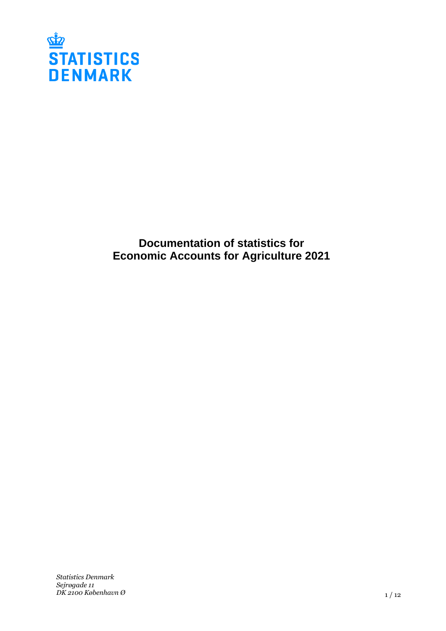

**Documentation of statistics for Economic Accounts for Agriculture 2021**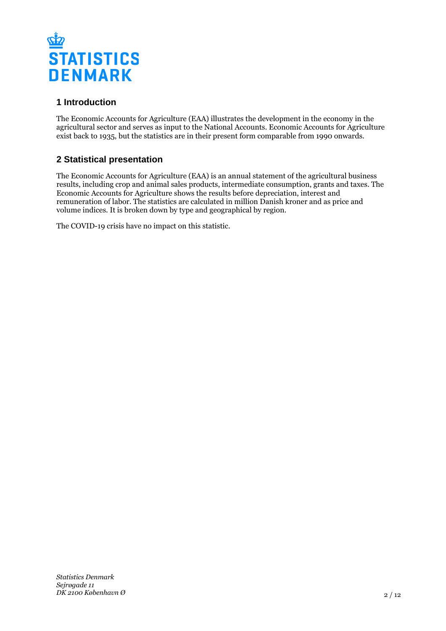

# **1 Introduction**

The Economic Accounts for Agriculture (EAA) illustrates the development in the economy in the agricultural sector and serves as input to the National Accounts. Economic Accounts for Agriculture exist back to 1935, but the statistics are in their present form comparable from 1990 onwards.

# **2 Statistical presentation**

The Economic Accounts for Agriculture (EAA) is an annual statement of the agricultural business results, including crop and animal sales products, intermediate consumption, grants and taxes. The Economic Accounts for Agriculture shows the results before depreciation, interest and remuneration of labor. The statistics are calculated in million Danish kroner and as price and volume indices. It is broken down by type and geographical by region.

The COVID-19 crisis have no impact on this statistic.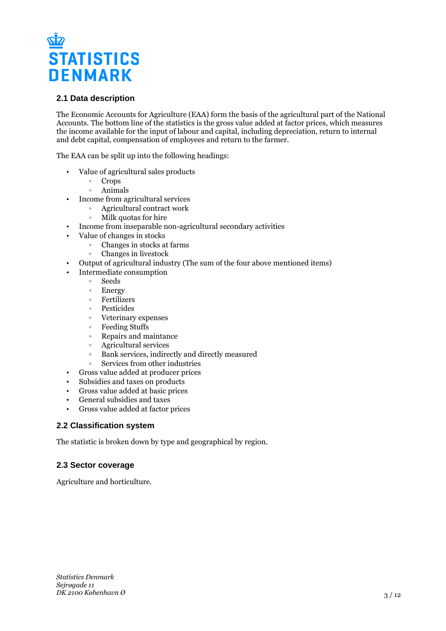

## **2.1 Data description**

The Economic Accounts for Agriculture (EAA) form the basis of the agricultural part of the National Accounts. The bottom line of the statistics is the gross value added at factor prices, which measures the income available for the input of labour and capital, including depreciation, return to internal and debt capital, compensation of employees and return to the farmer.

The EAA can be split up into the following headings:

- Value of agricultural sales products
	- Crops
		- ƕ Animals
- Income from agricultural services
	- ƕ Agricultural contract work
	- Milk quotas for hire
- Income from inseparable non-agricultural secondary activities
- Value of changes in stocks
	- ƕ Changes in stocks at farms
	- ƕ Changes in livestock
- Output of agricultural industry (The sum of the four above mentioned items)
- Intermediate consumption
	- ƕ Seeds
	- Energy
	- ƕ Fertilizers
	- ƕ Pesticides
	- ƕ Veterinary expenses
	- Feeding Stuffs
	- ƕ Repairs and maintance
	- ƕ Agricultural services
	- ƕ Bank services, indirectly and directly measured
	- ƕ Services from other industries
- Gross value added at producer prices
- Subsidies and taxes on products
- Gross value added at basic prices
- General subsidies and taxes
- Gross value added at factor prices

#### **2.2 Classification system**

The statistic is broken down by type and geographical by region.

#### **2.3 Sector coverage**

Agriculture and horticulture.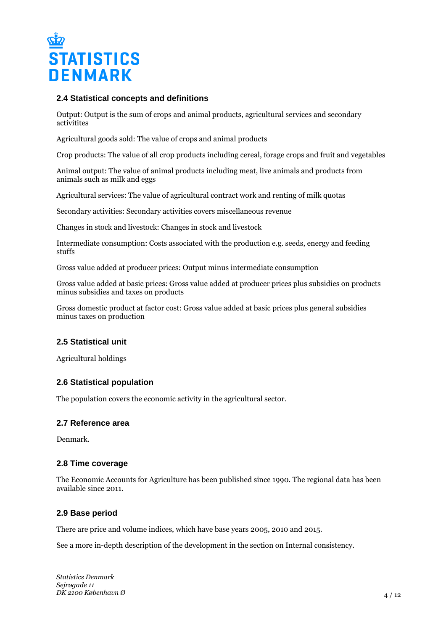

#### **2.4 Statistical concepts and definitions**

Output: Output is the sum of crops and animal products, agricultural services and secondary activitites

Agricultural goods sold: The value of crops and animal products

Crop products: The value of all crop products including cereal, forage crops and fruit and vegetables

Animal output: The value of animal products including meat, live animals and products from animals such as milk and eggs

Agricultural services: The value of agricultural contract work and renting of milk quotas

Secondary activities: Secondary activities covers miscellaneous revenue

Changes in stock and livestock: Changes in stock and livestock

Intermediate consumption: Costs associated with the production e.g. seeds, energy and feeding stuffs

Gross value added at producer prices: Output minus intermediate consumption

Gross value added at basic prices: Gross value added at producer prices plus subsidies on products minus subsidies and taxes on products

Gross domestic product at factor cost: Gross value added at basic prices plus general subsidies minus taxes on production

## **2.5 Statistical unit**

Agricultural holdings

#### **2.6 Statistical population**

The population covers the economic activity in the agricultural sector.

#### **2.7 Reference area**

Denmark.

#### **2.8 Time coverage**

The Economic Accounts for Agriculture has been published since 1990. The regional data has been available since 2011.

## **2.9 Base period**

There are price and volume indices, which have base years 2005, 2010 and 2015.

See a more in-depth description of the development in the section on Internal consistency.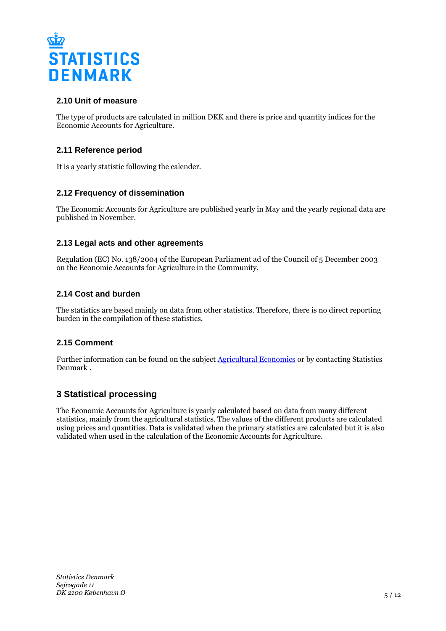

# **2.10 Unit of measure**

The type of products are calculated in million DKK and there is price and quantity indices for the Economic Accounts for Agriculture.

## **2.11 Reference period**

It is a yearly statistic following the calender.

## **2.12 Frequency of dissemination**

The Economic Accounts for Agriculture are published yearly in May and the yearly regional data are published in November.

## **2.13 Legal acts and other agreements**

Regulation (EC) No. 138/2004 of the European Parliament ad of the Council of 5 December 2003 on the Economic Accounts for Agriculture in the Community.

## **2.14 Cost and burden**

The statistics are based mainly on data from other statistics. Therefore, there is no direct reporting burden in the compilation of these statistics.

## **2.15 Comment**

Further information can be found on the subject [Agricultural Economics](https://www.dst.dk/en/Statistik/emner/erhvervslivssektorer/landbruggartneri-ogskovbrug/jordbrugetsoekonomi) or by contacting Statistics Denmark .

# **3 Statistical processing**

The Economic Accounts for Agriculture is yearly calculated based on data from many different statistics, mainly from the agricultural statistics. The values of the different products are calculated using prices and quantities. Data is validated when the primary statistics are calculated but it is also validated when used in the calculation of the Economic Accounts for Agriculture.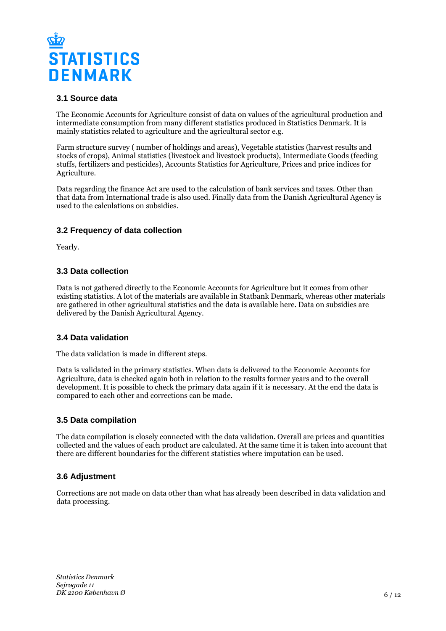

## **3.1 Source data**

The Economic Accounts for Agriculture consist of data on values of the agricultural production and intermediate consumption from many different statistics produced in Statistics Denmark. It is mainly statistics related to agriculture and the agricultural sector e.g.

Farm structure survey ( number of holdings and areas), Vegetable statistics (harvest results and stocks of crops), Animal statistics (livestock and livestock products), Intermediate Goods (feeding stuffs, fertilizers and pesticides), Accounts Statistics for Agriculture, Prices and price indices for Agriculture.

Data regarding the finance Act are used to the calculation of bank services and taxes. Other than that data from International trade is also used. Finally data from the Danish Agricultural Agency is used to the calculations on subsidies.

## **3.2 Frequency of data collection**

Yearly.

## **3.3 Data collection**

Data is not gathered directly to the Economic Accounts for Agriculture but it comes from other existing statistics. A lot of the materials are available in Statbank Denmark, whereas other materials are gathered in other agricultural statistics and the data is available here. Data on subsidies are delivered by the Danish Agricultural Agency.

#### **3.4 Data validation**

The data validation is made in different steps.

Data is validated in the primary statistics. When data is delivered to the Economic Accounts for Agriculture, data is checked again both in relation to the results former years and to the overall development. It is possible to check the primary data again if it is necessary. At the end the data is compared to each other and corrections can be made.

#### **3.5 Data compilation**

The data compilation is closely connected with the data validation. Overall are prices and quantities collected and the values of each product are calculated. At the same time it is taken into account that there are different boundaries for the different statistics where imputation can be used.

## **3.6 Adjustment**

Corrections are not made on data other than what has already been described in data validation and data processing.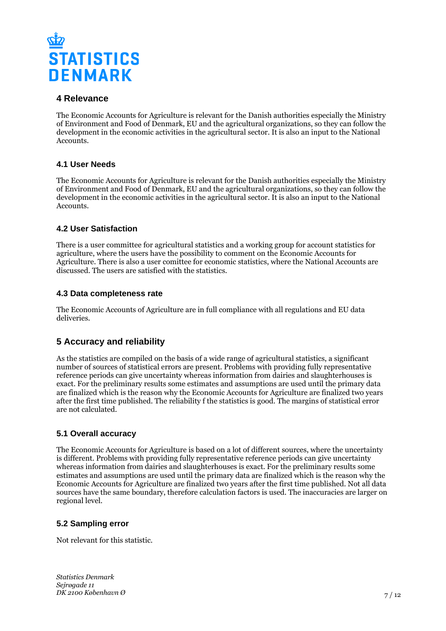

# **4 Relevance**

The Economic Accounts for Agriculture is relevant for the Danish authorities especially the Ministry of Environment and Food of Denmark, EU and the agricultural organizations, so they can follow the development in the economic activities in the agricultural sector. It is also an input to the National Accounts.

# **4.1 User Needs**

The Economic Accounts for Agriculture is relevant for the Danish authorities especially the Ministry of Environment and Food of Denmark, EU and the agricultural organizations, so they can follow the development in the economic activities in the agricultural sector. It is also an input to the National Accounts.

# **4.2 User Satisfaction**

There is a user committee for agricultural statistics and a working group for account statistics for agriculture, where the users have the possibility to comment on the Economic Accounts for Agriculture. There is also a user comittee for economic statistics, where the National Accounts are discussed. The users are satisfied with the statistics.

#### **4.3 Data completeness rate**

The Economic Accounts of Agriculture are in full compliance with all regulations and EU data deliveries.

# **5 Accuracy and reliability**

As the statistics are compiled on the basis of a wide range of agricultural statistics, a significant number of sources of statistical errors are present. Problems with providing fully representative reference periods can give uncertainty whereas information from dairies and slaughterhouses is exact. For the preliminary results some estimates and assumptions are used until the primary data are finalized which is the reason why the Economic Accounts for Agriculture are finalized two years after the first time published. The reliability f the statistics is good. The margins of statistical error are not calculated.

## **5.1 Overall accuracy**

The Economic Accounts for Agriculture is based on a lot of different sources, where the uncertainty is different. Problems with providing fully representative reference periods can give uncertainty whereas information from dairies and slaughterhouses is exact. For the preliminary results some estimates and assumptions are used until the primary data are finalized which is the reason why the Economic Accounts for Agriculture are finalized two years after the first time published. Not all data sources have the same boundary, therefore calculation factors is used. The inaccuracies are larger on regional level.

## **5.2 Sampling error**

Not relevant for this statistic.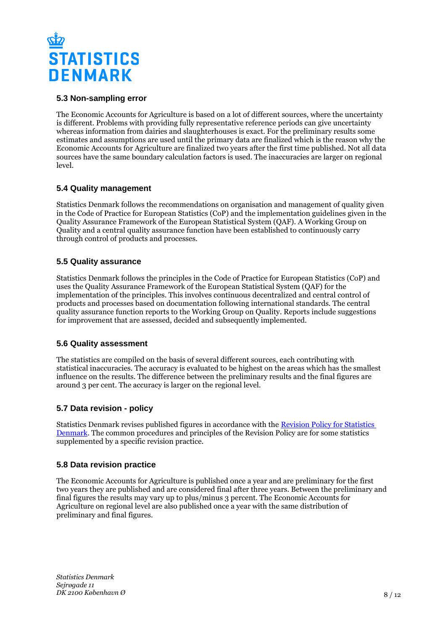

## **5.3 Non-sampling error**

The Economic Accounts for Agriculture is based on a lot of different sources, where the uncertainty is different. Problems with providing fully representative reference periods can give uncertainty whereas information from dairies and slaughterhouses is exact. For the preliminary results some estimates and assumptions are used until the primary data are finalized which is the reason why the Economic Accounts for Agriculture are finalized two years after the first time published. Not all data sources have the same boundary calculation factors is used. The inaccuracies are larger on regional level.

## **5.4 Quality management**

Statistics Denmark follows the recommendations on organisation and management of quality given in the Code of Practice for European Statistics (CoP) and the implementation guidelines given in the Quality Assurance Framework of the European Statistical System (QAF). A Working Group on Quality and a central quality assurance function have been established to continuously carry through control of products and processes.

## **5.5 Quality assurance**

Statistics Denmark follows the principles in the Code of Practice for European Statistics (CoP) and uses the Quality Assurance Framework of the European Statistical System (QAF) for the implementation of the principles. This involves continuous decentralized and central control of products and processes based on documentation following international standards. The central quality assurance function reports to the Working Group on Quality. Reports include suggestions for improvement that are assessed, decided and subsequently implemented.

## **5.6 Quality assessment**

The statistics are compiled on the basis of several different sources, each contributing with statistical inaccuracies. The accuracy is evaluated to be highest on the areas which has the smallest influence on the results. The difference between the preliminary results and the final figures are around 3 per cent. The accuracy is larger on the regional level.

# **5.7 Data revision - policy**

Statistics Denmark revises published figures in accordance with the [Revision Policy for Statistics](https://www.dst.dk/en/OmDS/strategi-og-kvalitet/revisionspolitik.aspx)  [Denmark.](https://www.dst.dk/en/OmDS/strategi-og-kvalitet/revisionspolitik.aspx) The common procedures and principles of the Revision Policy are for some statistics supplemented by a specific revision practice.

## **5.8 Data revision practice**

The Economic Accounts for Agriculture is published once a year and are preliminary for the first two years they are published and are considered final after three years. Between the preliminary and final figures the results may vary up to plus/minus 3 percent. The Economic Accounts for Agriculture on regional level are also published once a year with the same distribution of preliminary and final figures.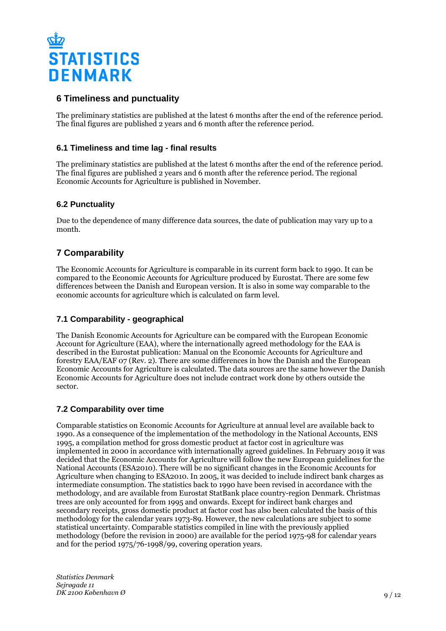

# **6 Timeliness and punctuality**

The preliminary statistics are published at the latest 6 months after the end of the reference period. The final figures are published 2 years and 6 month after the reference period.

## **6.1 Timeliness and time lag - final results**

The preliminary statistics are published at the latest 6 months after the end of the reference period. The final figures are published 2 years and 6 month after the reference period. The regional Economic Accounts for Agriculture is published in November.

# **6.2 Punctuality**

Due to the dependence of many difference data sources, the date of publication may vary up to a month.

# **7 Comparability**

The Economic Accounts for Agriculture is comparable in its current form back to 1990. It can be compared to the Economic Accounts for Agriculture produced by Eurostat. There are some few differences between the Danish and European version. It is also in some way comparable to the economic accounts for agriculture which is calculated on farm level.

## **7.1 Comparability - geographical**

The Danish Economic Accounts for Agriculture can be compared with the European Economic Account for Agriculture (EAA), where the internationally agreed methodology for the EAA is described in the Eurostat publication: Manual on the Economic Accounts for Agriculture and forestry EAA/EAF 07 (Rev. 2). There are some differences in how the Danish and the European Economic Accounts for Agriculture is calculated. The data sources are the same however the Danish Economic Accounts for Agriculture does not include contract work done by others outside the sector.

## **7.2 Comparability over time**

Comparable statistics on Economic Accounts for Agriculture at annual level are available back to 1990. As a consequence of the implementation of the methodology in the National Accounts, ENS 1995, a compilation method for gross domestic product at factor cost in agriculture was implemented in 2000 in accordance with internationally agreed guidelines. In February 2019 it was decided that the Economic Accounts for Agriculture will follow the new European guidelines for the National Accounts (ESA2010). There will be no significant changes in the Economic Accounts for Agriculture when changing to ESA2010. In 2005, it was decided to include indirect bank charges as intermediate consumption. The statistics back to 1990 have been revised in accordance with the methodology, and are available from Eurostat StatBank place country-region Denmark. Christmas trees are only accounted for from 1995 and onwards. Except for indirect bank charges and secondary receipts, gross domestic product at factor cost has also been calculated the basis of this methodology for the calendar years 1973-89. However, the new calculations are subject to some statistical uncertainty. Comparable statistics compiled in line with the previously applied methodology (before the revision in 2000) are available for the period 1975-98 for calendar years and for the period 1975/76-1998/99, covering operation years.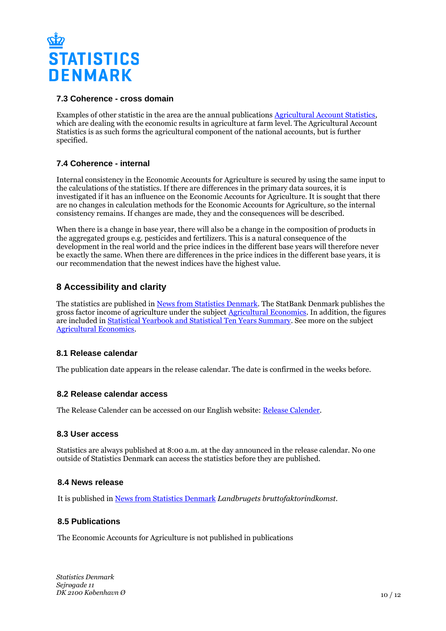

#### **7.3 Coherence - cross domain**

Examples of other statistic in the area are the annual publications [Agricultural Account Statistics](https://www.dst.dk/da/Statistik/Publikationer/VisPub?cid=20707), which are dealing with the economic results in agriculture at farm level. The Agricultural Account Statistics is as such forms the agricultural component of the national accounts, but is further specified.

## **7.4 Coherence - internal**

Internal consistency in the Economic Accounts for Agriculture is secured by using the same input to the calculations of the statistics. If there are differences in the primary data sources, it is investigated if it has an influence on the Economic Accounts for Agriculture. It is sought that there are no changes in calculation methods for the Economic Accounts for Agriculture, so the internal consistency remains. If changes are made, they and the consequences will be described.

When there is a change in base year, there will also be a change in the composition of products in the aggregated groups e.g. pesticides and fertilizers. This is a natural consequence of the development in the real world and the price indices in the different base years will therefore never be exactly the same. When there are differences in the price indices in the different base years, it is our recommendation that the newest indices have the highest value.

# **8 Accessibility and clarity**

The statistics are published in [News from Statistics Denmark](https://www.dst.dk/en/Statistik/ny). The StatBank Denmark publishes the gross factor income of agriculture under the subject **[Agricultural Economics](http://www.statbank.dk/10204)**. In addition, the figures are included in [Statistical Yearbook and Statistical Ten Years Summary](https://www.dst.dk/en/Statistik/Publikationer). See more on the subject [Agricultural Economics](https://www.dst.dk/en/Statistik/emner/erhvervslivsektorer/landbrug-gartneri-og-skovbrug/jordbrugets%C3%B8konomi).

## **8.1 Release calendar**

The publication date appears in the release calendar. The date is confirmed in the weeks before.

#### **8.2 Release calendar access**

The Release Calender can be accessed on our English website: [Release Calender.](https://www.dst.dk/en/Statistik/offentliggoerelser.aspx)

#### **8.3 User access**

Statistics are always published at 8:00 a.m. at the day announced in the release calendar. No one outside of Statistics Denmark can access the statistics before they are published.

#### **8.4 News release**

It is published in [News from Statistics Denmark](https://www.dst.dk/en/Statistik/nyt) *Landbrugets bruttofaktorindkomst*.

#### **8.5 Publications**

The Economic Accounts for Agriculture is not published in publications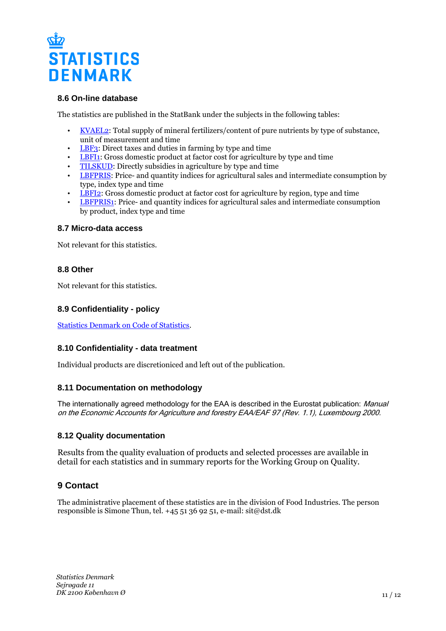

#### **8.6 On-line database**

The statistics are published in the StatBank under the subjects in the following tables:

- [KVAEL2](https://www.statbank.dk/KVAEL2): Total supply of mineral fertilizers/content of pure nutrients by type of substance, unit of measurement and time
- [LBF3:](https://www.statbank.dk/LBF3) Direct taxes and duties in farming by type and time
- [LBFI1:](https://www.statbank.dk/LBFI1) Gross domestic product at factor cost for agriculture by type and time
- [TILSKUD:](https://www.statbank.dk/TILSKUD) Directly subsidies in agriculture by type and time
- [LBFPRIS](https://www.statbank.dk/LBFPRIS): Price- and quantity indices for agricultural sales and intermediate consumption by type, index type and time
- [LBFI2:](https://www.statbank.dk/LBFI2) Gross domestic product at factor cost for agriculture by region, type and time
- [LBFPRIS1](https://www.statbank.dk/LBFPRIS1): Price- and quantity indices for agricultural sales and intermediate consumption by product, index type and time

#### **8.7 Micro-data access**

Not relevant for this statistics.

## **8.8 Other**

Not relevant for this statistics.

## **8.9 Confidentiality - policy**

[Statistics Denmark on Code of Statistics.](https://www.dst.dk/en/OmDS/lovgivning.aspx)

## **8.10 Confidentiality - data treatment**

Individual products are discretioniced and left out of the publication.

#### **8.11 Documentation on methodology**

The internationally agreed methodology for the EAA is described in the Eurostat publication: Manual on the Economic Accounts for Agriculture and forestry EAA/EAF 97 (Rev. 1.1), Luxembourg 2000.

#### **8.12 Quality documentation**

Results from the quality evaluation of products and selected processes are available in detail for each statistics and in summary reports for the Working Group on Quality.

# **9 Contact**

The administrative placement of these statistics are in the division of Food Industries. The person responsible is Simone Thun, tel.  $+4551369251$ , e-mail: sit@dst.dk